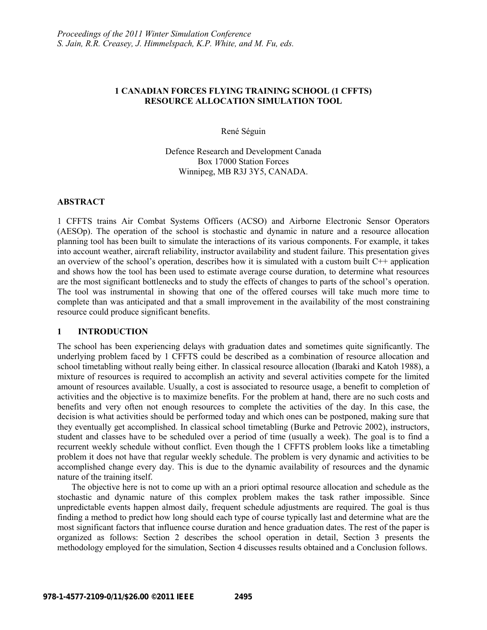## **1 CANADIAN FORCES FLYING TRAINING SCHOOL (1 CFFTS) RESOURCE ALLOCATION SIMULATION TOOL**

René Séguin

Defence Research and Development Canada Box 17000 Station Forces Winnipeg, MB R3J 3Y5, CANADA.

#### **ABSTRACT**

1 CFFTS trains Air Combat Systems Officers (ACSO) and Airborne Electronic Sensor Operators (AESOp). The operation of the school is stochastic and dynamic in nature and a resource allocation planning tool has been built to simulate the interactions of its various components. For example, it takes into account weather, aircraft reliability, instructor availability and student failure. This presentation gives an overview of the school's operation, describes how it is simulated with a custom built  $C++$  application and shows how the tool has been used to estimate average course duration, to determine what resources are the most significant bottlenecks and to study the effects of changes to parts of the school's operation. The tool was instrumental in showing that one of the offered courses will take much more time to complete than was anticipated and that a small improvement in the availability of the most constraining resource could produce significant benefits.

## **1 INTRODUCTION**

The school has been experiencing delays with graduation dates and sometimes quite significantly. The underlying problem faced by 1 CFFTS could be described as a combination of resource allocation and school timetabling without really being either. In classical resource allocation (Ibaraki and Katoh 1988), a mixture of resources is required to accomplish an activity and several activities compete for the limited amount of resources available. Usually, a cost is associated to resource usage, a benefit to completion of activities and the objective is to maximize benefits. For the problem at hand, there are no such costs and benefits and very often not enough resources to complete the activities of the day. In this case, the decision is what activities should be performed today and which ones can be postponed, making sure that they eventually get accomplished. In classical school timetabling (Burke and Petrovic 2002), instructors, student and classes have to be scheduled over a period of time (usually a week). The goal is to find a recurrent weekly schedule without conflict. Even though the 1 CFFTS problem looks like a timetabling problem it does not have that regular weekly schedule. The problem is very dynamic and activities to be accomplished change every day. This is due to the dynamic availability of resources and the dynamic nature of the training itself.

The objective here is not to come up with an a priori optimal resource allocation and schedule as the stochastic and dynamic nature of this complex problem makes the task rather impossible. Since unpredictable events happen almost daily, frequent schedule adjustments are required. The goal is thus finding a method to predict how long should each type of course typically last and determine what are the most significant factors that influence course duration and hence graduation dates. The rest of the paper is organized as follows: Section 2 describes the school operation in detail, Section 3 presents the methodology employed for the simulation, Section 4 discusses results obtained and a Conclusion follows.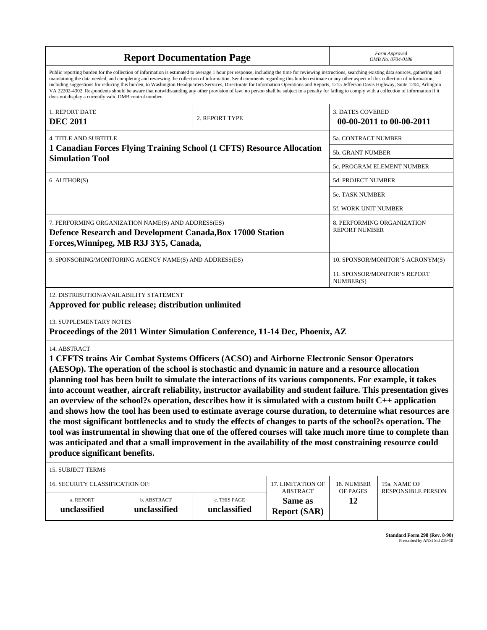|                                                                                                                                                                                                                                                                                                                                                                                                                                                                                                                                                                                                                                                                                                                                                                                                                                                                                                                                                                                                                                                             | Form Approved<br>OMB No. 0704-0188                                                                                                                        |                                                                       |                                                    |                            |                                                     |  |  |
|-------------------------------------------------------------------------------------------------------------------------------------------------------------------------------------------------------------------------------------------------------------------------------------------------------------------------------------------------------------------------------------------------------------------------------------------------------------------------------------------------------------------------------------------------------------------------------------------------------------------------------------------------------------------------------------------------------------------------------------------------------------------------------------------------------------------------------------------------------------------------------------------------------------------------------------------------------------------------------------------------------------------------------------------------------------|-----------------------------------------------------------------------------------------------------------------------------------------------------------|-----------------------------------------------------------------------|----------------------------------------------------|----------------------------|-----------------------------------------------------|--|--|
| Public reporting burden for the collection of information is estimated to average 1 hour per response, including the time for reviewing instructions, searching existing data sources, gathering and<br>maintaining the data needed, and completing and reviewing the collection of information. Send comments regarding this burden estimate or any other aspect of this collection of information,<br>including suggestions for reducing this burden, to Washington Headquarters Services, Directorate for Information Operations and Reports, 1215 Jefferson Davis Highway, Suite 1204, Arlington<br>VA 22202-4302. Respondents should be aware that notwithstanding any other provision of law, no person shall be subject to a penalty for failing to comply with a collection of information if it<br>does not display a currently valid OMB control number.                                                                                                                                                                                          |                                                                                                                                                           |                                                                       |                                                    |                            |                                                     |  |  |
| 1. REPORT DATE<br><b>DEC 2011</b>                                                                                                                                                                                                                                                                                                                                                                                                                                                                                                                                                                                                                                                                                                                                                                                                                                                                                                                                                                                                                           | 2. REPORT TYPE                                                                                                                                            |                                                                       |                                                    |                            | <b>3. DATES COVERED</b><br>00-00-2011 to 00-00-2011 |  |  |
| <b>4. TITLE AND SUBTITLE</b>                                                                                                                                                                                                                                                                                                                                                                                                                                                                                                                                                                                                                                                                                                                                                                                                                                                                                                                                                                                                                                |                                                                                                                                                           |                                                                       | 5a. CONTRACT NUMBER                                |                            |                                                     |  |  |
|                                                                                                                                                                                                                                                                                                                                                                                                                                                                                                                                                                                                                                                                                                                                                                                                                                                                                                                                                                                                                                                             |                                                                                                                                                           | 1 Canadian Forces Flying Training School (1 CFTS) Resource Allocation |                                                    | 5b. GRANT NUMBER           |                                                     |  |  |
| <b>Simulation Tool</b>                                                                                                                                                                                                                                                                                                                                                                                                                                                                                                                                                                                                                                                                                                                                                                                                                                                                                                                                                                                                                                      |                                                                                                                                                           |                                                                       |                                                    | 5c. PROGRAM ELEMENT NUMBER |                                                     |  |  |
| 6. AUTHOR(S)                                                                                                                                                                                                                                                                                                                                                                                                                                                                                                                                                                                                                                                                                                                                                                                                                                                                                                                                                                                                                                                |                                                                                                                                                           |                                                                       |                                                    | 5d. PROJECT NUMBER         |                                                     |  |  |
|                                                                                                                                                                                                                                                                                                                                                                                                                                                                                                                                                                                                                                                                                                                                                                                                                                                                                                                                                                                                                                                             |                                                                                                                                                           |                                                                       |                                                    | 5e. TASK NUMBER            |                                                     |  |  |
|                                                                                                                                                                                                                                                                                                                                                                                                                                                                                                                                                                                                                                                                                                                                                                                                                                                                                                                                                                                                                                                             |                                                                                                                                                           |                                                                       |                                                    | 5f. WORK UNIT NUMBER       |                                                     |  |  |
|                                                                                                                                                                                                                                                                                                                                                                                                                                                                                                                                                                                                                                                                                                                                                                                                                                                                                                                                                                                                                                                             | 7. PERFORMING ORGANIZATION NAME(S) AND ADDRESS(ES)<br>Defence Research and Development Canada, Box 17000 Station<br>Forces, Winnipeg, MB R3J 3Y5, Canada, |                                                                       | 8. PERFORMING ORGANIZATION<br><b>REPORT NUMBER</b> |                            |                                                     |  |  |
|                                                                                                                                                                                                                                                                                                                                                                                                                                                                                                                                                                                                                                                                                                                                                                                                                                                                                                                                                                                                                                                             | 9. SPONSORING/MONITORING AGENCY NAME(S) AND ADDRESS(ES)                                                                                                   |                                                                       | 10. SPONSOR/MONITOR'S ACRONYM(S)                   |                            |                                                     |  |  |
|                                                                                                                                                                                                                                                                                                                                                                                                                                                                                                                                                                                                                                                                                                                                                                                                                                                                                                                                                                                                                                                             |                                                                                                                                                           |                                                                       | 11. SPONSOR/MONITOR'S REPORT<br>NUMBER(S)          |                            |                                                     |  |  |
| 12. DISTRIBUTION/AVAILABILITY STATEMENT                                                                                                                                                                                                                                                                                                                                                                                                                                                                                                                                                                                                                                                                                                                                                                                                                                                                                                                                                                                                                     | Approved for public release; distribution unlimited                                                                                                       |                                                                       |                                                    |                            |                                                     |  |  |
| 13. SUPPLEMENTARY NOTES<br>Proceedings of the 2011 Winter Simulation Conference, 11-14 Dec, Phoenix, AZ                                                                                                                                                                                                                                                                                                                                                                                                                                                                                                                                                                                                                                                                                                                                                                                                                                                                                                                                                     |                                                                                                                                                           |                                                                       |                                                    |                            |                                                     |  |  |
| 14. ABSTRACT<br>1 CFFTS trains Air Combat Systems Officers (ACSO) and Airborne Electronic Sensor Operators<br>(AESOp). The operation of the school is stochastic and dynamic in nature and a resource allocation<br>planning tool has been built to simulate the interactions of its various components. For example, it takes<br>into account weather, aircraft reliability, instructor availability and student failure. This presentation gives<br>an overview of the school?s operation, describes how it is simulated with a custom built $C_{++}$ application<br>and shows how the tool has been used to estimate average course duration, to determine what resources are<br>the most significant bottlenecks and to study the effects of changes to parts of the school?s operation. The<br>tool was instrumental in showing that one of the offered courses will take much more time to complete than<br>was anticipated and that a small improvement in the availability of the most constraining resource could<br>produce significant benefits. |                                                                                                                                                           |                                                                       |                                                    |                            |                                                     |  |  |
| <b>15. SUBJECT TERMS</b>                                                                                                                                                                                                                                                                                                                                                                                                                                                                                                                                                                                                                                                                                                                                                                                                                                                                                                                                                                                                                                    |                                                                                                                                                           |                                                                       |                                                    |                            |                                                     |  |  |
| 16. SECURITY CLASSIFICATION OF:                                                                                                                                                                                                                                                                                                                                                                                                                                                                                                                                                                                                                                                                                                                                                                                                                                                                                                                                                                                                                             | 17. LIMITATION OF<br><b>ABSTRACT</b>                                                                                                                      | 18. NUMBER<br>OF PAGES                                                | 19a. NAME OF<br><b>RESPONSIBLE PERSON</b>          |                            |                                                     |  |  |
| b. ABSTRACT<br>c. THIS PAGE<br>a. REPORT<br>Same as<br>unclassified<br>unclassified<br>unclassified<br><b>Report (SAR)</b>                                                                                                                                                                                                                                                                                                                                                                                                                                                                                                                                                                                                                                                                                                                                                                                                                                                                                                                                  |                                                                                                                                                           |                                                                       |                                                    | 12                         |                                                     |  |  |

**Standard Form 298 (Rev. 8-98)**<br>Prescribed by ANSI Std Z39-18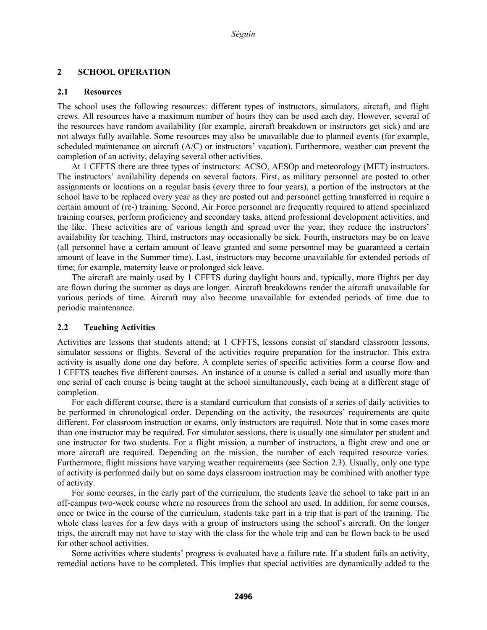# **2 SCHOOL OPERATION**

## **2.1 Resources**

The school uses the following resources: different types of instructors, simulators, aircraft, and flight crews. All resources have a maximum number of hours they can be used each day. However, several of the resources have random availability (for example, aircraft breakdown or instructors get sick) and are not always fully available. Some resources may also be unavailable due to planned events (for example, scheduled maintenance on aircraft (A/C) or instructors' vacation). Furthermore, weather can prevent the completion of an activity, delaying several other activities.

At 1 CFFTS there are three types of instructors: ACSO, AESOp and meteorology (MET) instructors. The instructors' availability depends on several factors. First, as military personnel are posted to other assignments or locations on a regular basis (every three to four years), a portion of the instructors at the school have to be replaced every year as they are posted out and personnel getting transferred in require a certain amount of (re-) training. Second, Air Force personnel are frequently required to attend specialized training courses, perform proficiency and secondary tasks, attend professional development activities, and the like. These activities are of various length and spread over the year; they reduce the instructors' availability for teaching. Third, instructors may occasionally be sick. Fourth, instructors may be on leave (all personnel have a certain amount of leave granted and some personnel may be guaranteed a certain amount of leave in the Summer time). Last, instructors may become unavailable for extended periods of time; for example, maternity leave or prolonged sick leave.

The aircraft are mainly used by 1 CFFTS during daylight hours and, typically, more flights per day are flown during the summer as days are longer. Aircraft breakdowns render the aircraft unavailable for various periods of time. Aircraft may also become unavailable for extended periods of time due to periodic maintenance.

### **2.2 Teaching Activities**

Activities are lessons that students attend; at 1 CFFTS, lessons consist of standard classroom lessons, simulator sessions or flights. Several of the activities require preparation for the instructor. This extra activity is usually done one day before. A complete series of specific activities form a course flow and 1 CFFTS teaches five different courses. An instance of a course is called a serial and usually more than one serial of each course is being taught at the school simultaneously, each being at a different stage of completion.

For each different course, there is a standard curriculum that consists of a series of daily activities to be performed in chronological order. Depending on the activity, the resources' requirements are quite different. For classroom instruction or exams, only instructors are required. Note that in some cases more than one instructor may be required. For simulator sessions, there is usually one simulator per student and one instructor for two students. For a flight mission, a number of instructors, a flight crew and one or more aircraft are required. Depending on the mission, the number of each required resource varies. Furthermore, flight missions have varying weather requirements (see Section 2.3). Usually, only one type of activity is performed daily but on some days classroom instruction may be combined with another type of activity.

For some courses, in the early part of the curriculum, the students leave the school to take part in an off-campus two-week course where no resources from the school are used. In addition, for some courses, once or twice in the course of the curriculum, students take part in a trip that is part of the training. The whole class leaves for a few days with a group of instructors using the school's aircraft. On the longer trips, the aircraft may not have to stay with the class for the whole trip and can be flown back to be used for other school activities.

Some activities where students' progress is evaluated have a failure rate. If a student fails an activity, remedial actions have to be completed. This implies that special activities are dynamically added to the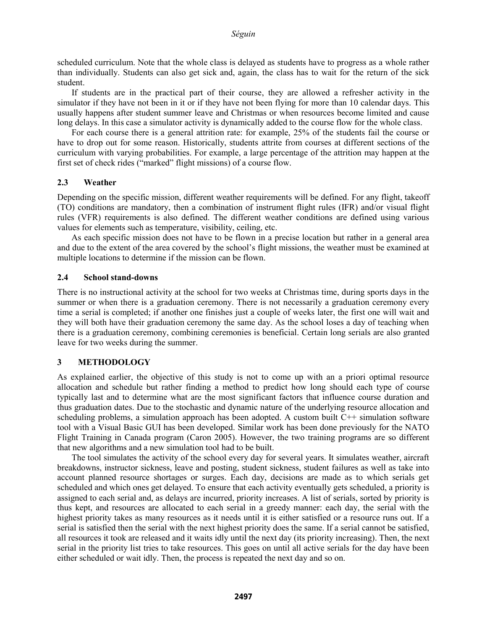scheduled curriculum. Note that the whole class is delayed as students have to progress as a whole rather than individually. Students can also get sick and, again, the class has to wait for the return of the sick student.

If students are in the practical part of their course, they are allowed a refresher activity in the simulator if they have not been in it or if they have not been flying for more than 10 calendar days. This usually happens after student summer leave and Christmas or when resources become limited and cause long delays. In this case a simulator activity is dynamically added to the course flow for the whole class.

For each course there is a general attrition rate: for example, 25% of the students fail the course or have to drop out for some reason. Historically, students attrite from courses at different sections of the curriculum with varying probabilities. For example, a large percentage of the attrition may happen at the first set of check rides ("marked" flight missions) of a course flow.

## **2.3 Weather**

Depending on the specific mission, different weather requirements will be defined. For any flight, takeoff (TO) conditions are mandatory, then a combination of instrument flight rules (IFR) and/or visual flight rules (VFR) requirements is also defined. The different weather conditions are defined using various values for elements such as temperature, visibility, ceiling, etc.

As each specific mission does not have to be flown in a precise location but rather in a general area and due to the extent of the area covered by the school's flight missions, the weather must be examined at multiple locations to determine if the mission can be flown.

## **2.4 School stand-downs**

There is no instructional activity at the school for two weeks at Christmas time, during sports days in the summer or when there is a graduation ceremony. There is not necessarily a graduation ceremony every time a serial is completed; if another one finishes just a couple of weeks later, the first one will wait and they will both have their graduation ceremony the same day. As the school loses a day of teaching when there is a graduation ceremony, combining ceremonies is beneficial. Certain long serials are also granted leave for two weeks during the summer.

# **3 METHODOLOGY**

As explained earlier, the objective of this study is not to come up with an a priori optimal resource allocation and schedule but rather finding a method to predict how long should each type of course typically last and to determine what are the most significant factors that influence course duration and thus graduation dates. Due to the stochastic and dynamic nature of the underlying resource allocation and scheduling problems, a simulation approach has been adopted. A custom built C<sup>++</sup> simulation software tool with a Visual Basic GUI has been developed. Similar work has been done previously for the NATO Flight Training in Canada program (Caron 2005). However, the two training programs are so different that new algorithms and a new simulation tool had to be built.

The tool simulates the activity of the school every day for several years. It simulates weather, aircraft breakdowns, instructor sickness, leave and posting, student sickness, student failures as well as take into account planned resource shortages or surges. Each day, decisions are made as to which serials get scheduled and which ones get delayed. To ensure that each activity eventually gets scheduled, a priority is assigned to each serial and, as delays are incurred, priority increases. A list of serials, sorted by priority is thus kept, and resources are allocated to each serial in a greedy manner: each day, the serial with the highest priority takes as many resources as it needs until it is either satisfied or a resource runs out. If a serial is satisfied then the serial with the next highest priority does the same. If a serial cannot be satisfied, all resources it took are released and it waits idly until the next day (its priority increasing). Then, the next serial in the priority list tries to take resources. This goes on until all active serials for the day have been either scheduled or wait idly. Then, the process is repeated the next day and so on.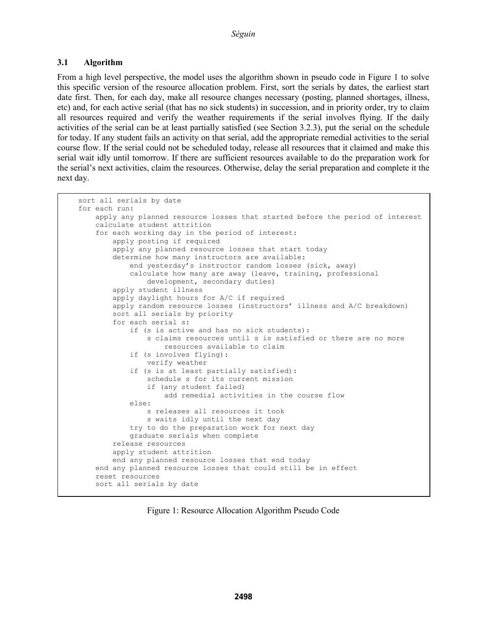# **3.1 Algorithm**

From a high level perspective, the model uses the algorithm shown in pseudo code in Figure 1 to solve this specific version of the resource allocation problem. First, sort the serials by dates, the earliest start date first. Then, for each day, make all resource changes necessary (posting, planned shortages, illness, etc) and, for each active serial (that has no sick students) in succession, and in priority order, try to claim all resources required and verify the weather requirements if the serial involves flying. If the daily activities of the serial can be at least partially satisfied (see Section 3.2.3), put the serial on the schedule for today. If any student fails an activity on that serial, add the appropriate remedial activities to the serial course flow. If the serial could not be scheduled today, release all resources that it claimed and make this serial wait idly until tomorrow. If there are sufficient resources available to do the preparation work for the serial's next activities, claim the resources. Otherwise, delay the serial preparation and complete it the next day.

```
sort all serials by date
for each run:
     apply any planned resource losses that started before the period of interest
     calculate student attrition
     for each working day in the period of interest:
         apply posting if required
         apply any planned resource losses that start today
         determine how many instructors are available:
             end yesterday's instructor random losses (sick, away)
             calculate how many are away (leave, training, professional
                 development, secondary duties)
         apply student illness
         apply daylight hours for A/C if required
         apply random resource losses (instructors' illness and A/C breakdown)
         sort all serials by priority
         for each serial s:
             if (s is active and has no sick students):
                 s claims resources until s is satisfied or there are no more
                     resources available to claim
             if (s involves flying):
                 verify weather
             if (s is at least partially satisfied):
                 schedule s for its current mission
                 if (any student failed)
                     add remedial activities in the course flow
             else:
                 s releases all resources it took
                 s waits idly until the next day
             try to do the preparation work for next day
             graduate serials when complete
         release resources
         apply student attrition
         end any planned resource losses that end today
     end any planned resource losses that could still be in effect
     reset resources
     sort all serials by date
```
Figure 1: Resource Allocation Algorithm Pseudo Code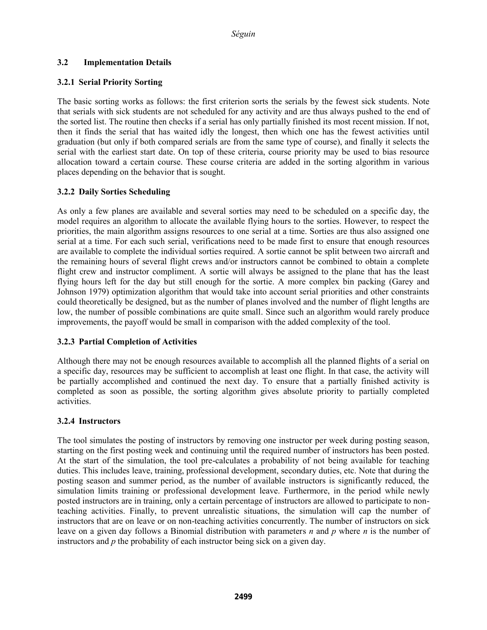# **3.2 Implementation Details**

# **3.2.1 Serial Priority Sorting**

The basic sorting works as follows: the first criterion sorts the serials by the fewest sick students. Note that serials with sick students are not scheduled for any activity and are thus always pushed to the end of the sorted list. The routine then checks if a serial has only partially finished its most recent mission. If not, then it finds the serial that has waited idly the longest, then which one has the fewest activities until graduation (but only if both compared serials are from the same type of course), and finally it selects the serial with the earliest start date. On top of these criteria, course priority may be used to bias resource allocation toward a certain course. These course criteria are added in the sorting algorithm in various places depending on the behavior that is sought.

# **3.2.2 Daily Sorties Scheduling**

As only a few planes are available and several sorties may need to be scheduled on a specific day, the model requires an algorithm to allocate the available flying hours to the sorties. However, to respect the priorities, the main algorithm assigns resources to one serial at a time. Sorties are thus also assigned one serial at a time. For each such serial, verifications need to be made first to ensure that enough resources are available to complete the individual sorties required. A sortie cannot be split between two aircraft and the remaining hours of several flight crews and/or instructors cannot be combined to obtain a complete flight crew and instructor compliment. A sortie will always be assigned to the plane that has the least flying hours left for the day but still enough for the sortie. A more complex bin packing (Garey and Johnson 1979) optimization algorithm that would take into account serial priorities and other constraints could theoretically be designed, but as the number of planes involved and the number of flight lengths are low, the number of possible combinations are quite small. Since such an algorithm would rarely produce improvements, the payoff would be small in comparison with the added complexity of the tool.

# **3.2.3 Partial Completion of Activities**

Although there may not be enough resources available to accomplish all the planned flights of a serial on a specific day, resources may be sufficient to accomplish at least one flight. In that case, the activity will be partially accomplished and continued the next day. To ensure that a partially finished activity is completed as soon as possible, the sorting algorithm gives absolute priority to partially completed activities.

# **3.2.4 Instructors**

The tool simulates the posting of instructors by removing one instructor per week during posting season, starting on the first posting week and continuing until the required number of instructors has been posted. At the start of the simulation, the tool pre-calculates a probability of not being available for teaching duties. This includes leave, training, professional development, secondary duties, etc. Note that during the posting season and summer period, as the number of available instructors is significantly reduced, the simulation limits training or professional development leave. Furthermore, in the period while newly posted instructors are in training, only a certain percentage of instructors are allowed to participate to nonteaching activities. Finally, to prevent unrealistic situations, the simulation will cap the number of instructors that are on leave or on non-teaching activities concurrently. The number of instructors on sick leave on a given day follows a Binomial distribution with parameters *n* and *p* where *n* is the number of instructors and *p* the probability of each instructor being sick on a given day.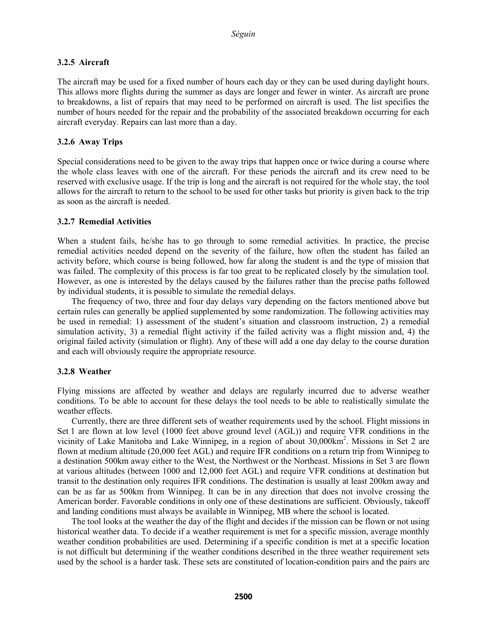# **3.2.5 Aircraft**

The aircraft may be used for a fixed number of hours each day or they can be used during daylight hours. This allows more flights during the summer as days are longer and fewer in winter. As aircraft are prone to breakdowns, a list of repairs that may need to be performed on aircraft is used. The list specifies the number of hours needed for the repair and the probability of the associated breakdown occurring for each aircraft everyday. Repairs can last more than a day.

# **3.2.6 Away Trips**

Special considerations need to be given to the away trips that happen once or twice during a course where the whole class leaves with one of the aircraft. For these periods the aircraft and its crew need to be reserved with exclusive usage. If the trip is long and the aircraft is not required for the whole stay, the tool allows for the aircraft to return to the school to be used for other tasks but priority is given back to the trip as soon as the aircraft is needed.

# **3.2.7 Remedial Activities**

When a student fails, he/she has to go through to some remedial activities. In practice, the precise remedial activities needed depend on the severity of the failure, how often the student has failed an activity before, which course is being followed, how far along the student is and the type of mission that was failed. The complexity of this process is far too great to be replicated closely by the simulation tool. However, as one is interested by the delays caused by the failures rather than the precise paths followed by individual students, it is possible to simulate the remedial delays.

The frequency of two, three and four day delays vary depending on the factors mentioned above but certain rules can generally be applied supplemented by some randomization. The following activities may be used in remedial: 1) assessment of the student's situation and classroom instruction, 2) a remedial simulation activity, 3) a remedial flight activity if the failed activity was a flight mission and, 4) the original failed activity (simulation or flight). Any of these will add a one day delay to the course duration and each will obviously require the appropriate resource.

# **3.2.8 Weather**

Flying missions are affected by weather and delays are regularly incurred due to adverse weather conditions. To be able to account for these delays the tool needs to be able to realistically simulate the weather effects.

Currently, there are three different sets of weather requirements used by the school. Flight missions in Set 1 are flown at low level (1000 feet above ground level (AGL)) and require VFR conditions in the vicinity of Lake Manitoba and Lake Winnipeg, in a region of about 30,000km<sup>2</sup>. Missions in Set 2 are flown at medium altitude (20,000 feet AGL) and require IFR conditions on a return trip from Winnipeg to a destination 500km away either to the West, the Northwest or the Northeast. Missions in Set 3 are flown at various altitudes (between 1000 and 12,000 feet AGL) and require VFR conditions at destination but transit to the destination only requires IFR conditions. The destination is usually at least 200km away and can be as far as 500km from Winnipeg. It can be in any direction that does not involve crossing the American border. Favorable conditions in only one of these destinations are sufficient. Obviously, takeoff and landing conditions must always be available in Winnipeg, MB where the school is located.

The tool looks at the weather the day of the flight and decides if the mission can be flown or not using historical weather data. To decide if a weather requirement is met for a specific mission, average monthly weather condition probabilities are used. Determining if a specific condition is met at a specific location is not difficult but determining if the weather conditions described in the three weather requirement sets used by the school is a harder task. These sets are constituted of location-condition pairs and the pairs are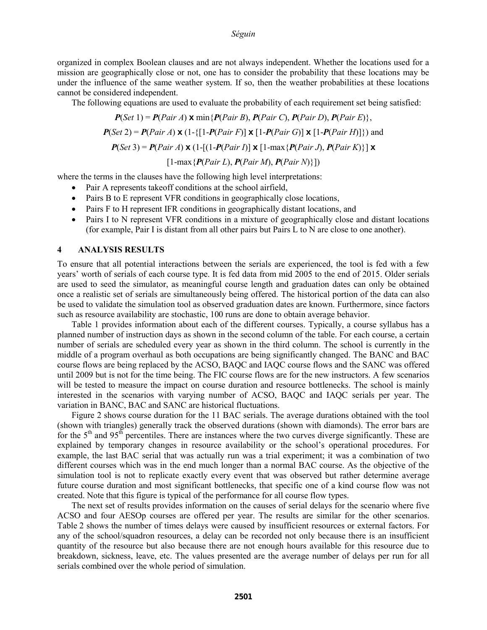organized in complex Boolean clauses and are not always independent. Whether the locations used for a mission are geographically close or not, one has to consider the probability that these locations may be under the influence of the same weather system. If so, then the weather probabilities at these locations cannot be considered independent.

The following equations are used to evaluate the probability of each requirement set being satisfied:

$$
P(Set\ 1) = P(Pair\ A) \times min\{P(Pair\ B), P(Pair\ C), P(Pair\ D), P(Pair\ E)\},
$$
  
\n
$$
P(Set\ 2) = P(Pair\ A) \times (1 - \{[1 - P(Pair\ F)] \times [1 - P(Pair\ G)] \times [1 - P(Pair\ H)]\})
$$
and  
\n
$$
P(Set\ 3) = P(Pair\ A) \times (1 - [(1 - P(Pair\ I)] \times [1 - max\{P(Pair\ J), P(Pair\ K)\}] \times [1 - max\{P(Pair\ L), P(Pair\ M), P(Pair\ N)\}])
$$

where the terms in the clauses have the following high level interpretations:

- Pair A represents takeoff conditions at the school airfield,
- Pairs B to E represent VFR conditions in geographically close locations,
- Pairs F to H represent IFR conditions in geographically distant locations, and
- Pairs I to N represent VFR conditions in a mixture of geographically close and distant locations (for example, Pair I is distant from all other pairs but Pairs L to N are close to one another).

#### **4 ANALYSIS RESULTS**

To ensure that all potential interactions between the serials are experienced, the tool is fed with a few years' worth of serials of each course type. It is fed data from mid 2005 to the end of 2015. Older serials are used to seed the simulator, as meaningful course length and graduation dates can only be obtained once a realistic set of serials are simultaneously being offered. The historical portion of the data can also be used to validate the simulation tool as observed graduation dates are known. Furthermore, since factors such as resource availability are stochastic, 100 runs are done to obtain average behavior.

Table 1 provides information about each of the different courses. Typically, a course syllabus has a planned number of instruction days as shown in the second column of the table. For each course, a certain number of serials are scheduled every year as shown in the third column. The school is currently in the middle of a program overhaul as both occupations are being significantly changed. The BANC and BAC course flows are being replaced by the ACSO, BAQC and IAQC course flows and the SANC was offered until 2009 but is not for the time being. The FIC course flows are for the new instructors. A few scenarios will be tested to measure the impact on course duration and resource bottlenecks. The school is mainly interested in the scenarios with varying number of ACSO, BAQC and IAQC serials per year. The variation in BANC, BAC and SANC are historical fluctuations.

Figure 2 shows course duration for the 11 BAC serials. The average durations obtained with the tool (shown with triangles) generally track the observed durations (shown with diamonds). The error bars are for the  $5<sup>th</sup>$  and  $95<sup>th</sup>$  percentiles. There are instances where the two curves diverge significantly. These are explained by temporary changes in resource availability or the school's operational procedures. For example, the last BAC serial that was actually run was a trial experiment; it was a combination of two different courses which was in the end much longer than a normal BAC course. As the objective of the simulation tool is not to replicate exactly every event that was observed but rather determine average future course duration and most significant bottlenecks, that specific one of a kind course flow was not created. Note that this figure is typical of the performance for all course flow types.

The next set of results provides information on the causes of serial delays for the scenario where five ACSO and four AESOp courses are offered per year. The results are similar for the other scenarios. Table 2 shows the number of times delays were caused by insufficient resources or external factors. For any of the school/squadron resources, a delay can be recorded not only because there is an insufficient quantity of the resource but also because there are not enough hours available for this resource due to breakdown, sickness, leave, etc. The values presented are the average number of delays per run for all serials combined over the whole period of simulation.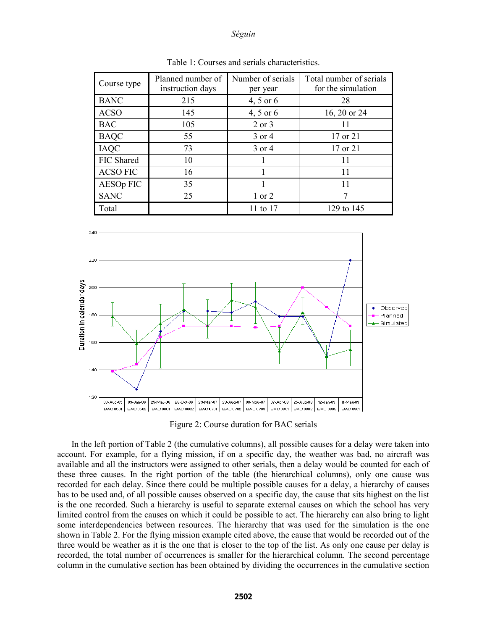| Course type     | Planned number of<br>instruction days | Number of serials<br>per year | Total number of serials<br>for the simulation |
|-----------------|---------------------------------------|-------------------------------|-----------------------------------------------|
| <b>BANC</b>     | 215                                   | 4, 5 or 6                     | 28                                            |
| <b>ACSO</b>     | 145                                   | 4, 5 or 6                     | 16, 20 or 24                                  |
| <b>BAC</b>      | 105                                   | $2$ or $3$                    | 11                                            |
| <b>BAQC</b>     | 55                                    | 3 or 4                        | 17 or 21                                      |
| <b>IAQC</b>     | 73                                    | 3 or 4                        | 17 or 21                                      |
| FIC Shared      | 10                                    |                               | 11                                            |
| <b>ACSO FIC</b> | 16                                    |                               | 11                                            |
| AESOp FIC       | 35                                    |                               | 11                                            |
| <b>SANC</b>     | 25                                    | 1 or 2                        |                                               |
| Total           |                                       | 11 to 17                      | 129 to 145                                    |

Table 1: Courses and serials characteristics.



Figure 2: Course duration for BAC serials

In the left portion of Table 2 (the cumulative columns), all possible causes for a delay were taken into account. For example, for a flying mission, if on a specific day, the weather was bad, no aircraft was available and all the instructors were assigned to other serials, then a delay would be counted for each of these three causes. In the right portion of the table (the hierarchical columns), only one cause was recorded for each delay. Since there could be multiple possible causes for a delay, a hierarchy of causes has to be used and, of all possible causes observed on a specific day, the cause that sits highest on the list is the one recorded. Such a hierarchy is useful to separate external causes on which the school has very limited control from the causes on which it could be possible to act. The hierarchy can also bring to light some interdependencies between resources. The hierarchy that was used for the simulation is the one shown in Table 2. For the flying mission example cited above, the cause that would be recorded out of the three would be weather as it is the one that is closer to the top of the list. As only one cause per delay is recorded, the total number of occurrences is smaller for the hierarchical column. The second percentage column in the cumulative section has been obtained by dividing the occurrences in the cumulative section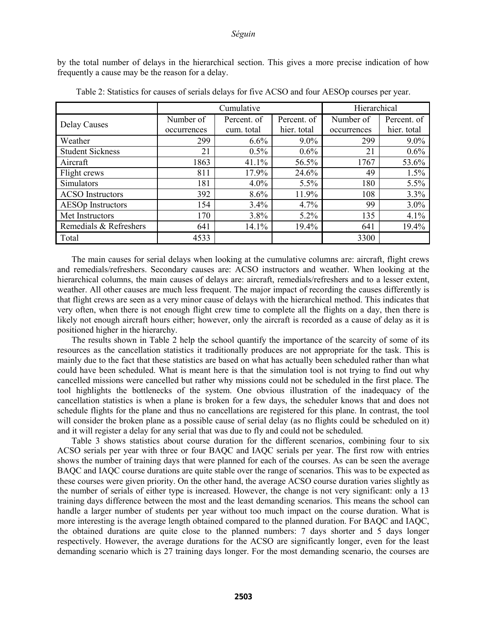by the total number of delays in the hierarchical section. This gives a more precise indication of how frequently a cause may be the reason for a delay.

|                          | Cumulative  |             |             | Hierarchical |             |  |
|--------------------------|-------------|-------------|-------------|--------------|-------------|--|
| <b>Delay Causes</b>      | Number of   | Percent. of | Percent. of | Number of    | Percent. of |  |
|                          | occurrences | cum. total  | hier. total | occurrences  | hier. total |  |
| Weather                  | 299         | 6.6%        | $9.0\%$     | 299          | $9.0\%$     |  |
| <b>Student Sickness</b>  | 21          | $0.5\%$     | $0.6\%$     | 21           | $0.6\%$     |  |
| Aircraft                 | 1863        | 41.1%       | 56.5%       | 1767         | 53.6%       |  |
| Flight crews             | 811         | 17.9%       | 24.6%       | 49           | 1.5%        |  |
| <b>Simulators</b>        | 181         | $4.0\%$     | 5.5%        | 180          | 5.5%        |  |
| <b>ACSO</b> Instructors  | 392         | $8.6\%$     | 11.9%       | 108          | 3.3%        |  |
| <b>AESOp</b> Instructors | 154         | 3.4%        | 4.7%        | 99           | $3.0\%$     |  |
| Met Instructors          | 170         | 3.8%        | $5.2\%$     | 135          | 4.1%        |  |
| Remedials & Refreshers   | 641         | 14.1%       | 19.4%       | 641          | 19.4%       |  |
| Total                    | 4533        |             |             | 3300         |             |  |

Table 2: Statistics for causes of serials delays for five ACSO and four AESOp courses per year.

The main causes for serial delays when looking at the cumulative columns are: aircraft, flight crews and remedials/refreshers. Secondary causes are: ACSO instructors and weather. When looking at the hierarchical columns, the main causes of delays are: aircraft, remedials/refreshers and to a lesser extent, weather. All other causes are much less frequent. The major impact of recording the causes differently is that flight crews are seen as a very minor cause of delays with the hierarchical method. This indicates that very often, when there is not enough flight crew time to complete all the flights on a day, then there is likely not enough aircraft hours either; however, only the aircraft is recorded as a cause of delay as it is positioned higher in the hierarchy.

The results shown in Table 2 help the school quantify the importance of the scarcity of some of its resources as the cancellation statistics it traditionally produces are not appropriate for the task. This is mainly due to the fact that these statistics are based on what has actually been scheduled rather than what could have been scheduled. What is meant here is that the simulation tool is not trying to find out why cancelled missions were cancelled but rather why missions could not be scheduled in the first place. The tool highlights the bottlenecks of the system. One obvious illustration of the inadequacy of the cancellation statistics is when a plane is broken for a few days, the scheduler knows that and does not schedule flights for the plane and thus no cancellations are registered for this plane. In contrast, the tool will consider the broken plane as a possible cause of serial delay (as no flights could be scheduled on it) and it will register a delay for any serial that was due to fly and could not be scheduled.

Table 3 shows statistics about course duration for the different scenarios, combining four to six ACSO serials per year with three or four BAQC and IAQC serials per year. The first row with entries shows the number of training days that were planned for each of the courses. As can be seen the average BAQC and IAQC course durations are quite stable over the range of scenarios. This was to be expected as these courses were given priority. On the other hand, the average ACSO course duration varies slightly as the number of serials of either type is increased. However, the change is not very significant: only a 13 training days difference between the most and the least demanding scenarios. This means the school can handle a larger number of students per year without too much impact on the course duration. What is more interesting is the average length obtained compared to the planned duration. For BAQC and IAQC, the obtained durations are quite close to the planned numbers: 7 days shorter and 5 days longer respectively. However, the average durations for the ACSO are significantly longer, even for the least demanding scenario which is 27 training days longer. For the most demanding scenario, the courses are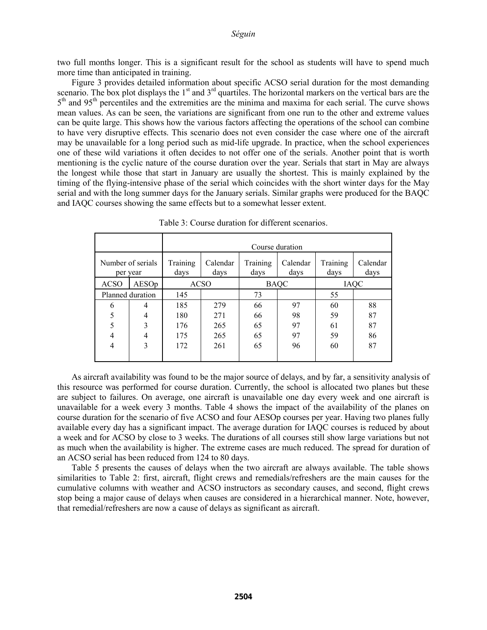two full months longer. This is a significant result for the school as students will have to spend much more time than anticipated in training.

Figure 3 provides detailed information about specific ACSO serial duration for the most demanding scenario. The box plot displays the 1<sup>st</sup> and 3<sup>rd</sup> quartiles. The horizontal markers on the vertical bars are the 5<sup>th</sup> and 95<sup>th</sup> percentiles and the extremities are the minima and maxima for each serial. The curve shows mean values. As can be seen, the variations are significant from one run to the other and extreme values can be quite large. This shows how the various factors affecting the operations of the school can combine to have very disruptive effects. This scenario does not even consider the case where one of the aircraft may be unavailable for a long period such as mid-life upgrade. In practice, when the school experiences one of these wild variations it often decides to not offer one of the serials. Another point that is worth mentioning is the cyclic nature of the course duration over the year. Serials that start in May are always the longest while those that start in January are usually the shortest. This is mainly explained by the timing of the flying-intensive phase of the serial which coincides with the short winter days for the May serial and with the long summer days for the January serials. Similar graphs were produced for the BAQC and IAQC courses showing the same effects but to a somewhat lesser extent.

|                               |       | Course duration  |                  |                  |                  |                  |                  |  |
|-------------------------------|-------|------------------|------------------|------------------|------------------|------------------|------------------|--|
| Number of serials<br>per year |       | Training<br>days | Calendar<br>days | Training<br>days | Calendar<br>days | Training<br>days | Calendar<br>days |  |
| <b>ACSO</b>                   | AESOp | <b>ACSO</b>      |                  | <b>BAQC</b>      |                  | <b>IAQC</b>      |                  |  |
| Planned duration              |       | 145              |                  | 73               |                  | 55               |                  |  |
| 6                             | 4     | 185              | 279              | 66               | 97               | 60               | 88               |  |
| 5                             | 4     | 180              | 271              | 66               | 98               | 59               | 87               |  |
| 5                             | 3     | 176              | 265              | 65               | 97               | 61               | 87               |  |
| 4                             | 4     | 175              | 265              | 65               | 97               | 59               | 86               |  |
| 4                             | 3     | 172              | 261              | 65               | 96               | 60               | 87               |  |
|                               |       |                  |                  |                  |                  |                  |                  |  |

Table 3: Course duration for different scenarios.

As aircraft availability was found to be the major source of delays, and by far, a sensitivity analysis of this resource was performed for course duration. Currently, the school is allocated two planes but these are subject to failures. On average, one aircraft is unavailable one day every week and one aircraft is unavailable for a week every 3 months. Table 4 shows the impact of the availability of the planes on course duration for the scenario of five ACSO and four AESOp courses per year. Having two planes fully available every day has a significant impact. The average duration for IAQC courses is reduced by about a week and for ACSO by close to 3 weeks. The durations of all courses still show large variations but not as much when the availability is higher. The extreme cases are much reduced. The spread for duration of an ACSO serial has been reduced from 124 to 80 days.

Table 5 presents the causes of delays when the two aircraft are always available. The table shows similarities to Table 2: first, aircraft, flight crews and remedials/refreshers are the main causes for the cumulative columns with weather and ACSO instructors as secondary causes, and second, flight crews stop being a major cause of delays when causes are considered in a hierarchical manner. Note, however, that remedial/refreshers are now a cause of delays as significant as aircraft.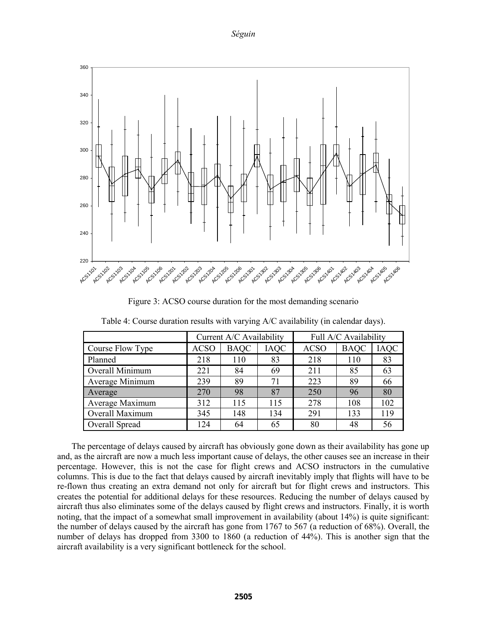

Figure 3: ACSO course duration for the most demanding scenario

|                  | Current A/C Availability |             |             | Full A/C Availability |             |             |  |
|------------------|--------------------------|-------------|-------------|-----------------------|-------------|-------------|--|
| Course Flow Type | <b>ACSO</b>              | <b>BAQC</b> | <b>IAQC</b> | <b>ACSO</b>           | <b>BAQC</b> | <b>IAQC</b> |  |
| Planned          | 218                      | 110         | 83          | 218                   | 110         | 83          |  |
| Overall Minimum  | 221                      | 84          | 69          | 211                   | 85          | 63          |  |
| Average Minimum  | 239                      | 89          | 71          | 223                   | 89          | 66          |  |
| Average          | 270                      | 98          | 87          | 250                   | 96          | 80          |  |
| Average Maximum  | 312                      | 115         | 115         | 278                   | 108         | 102         |  |
| Overall Maximum  | 345                      | 148         | 134         | 291                   | 133         | 119         |  |
| Overall Spread   | 124                      | 64          | 65          | 80                    | 48          | 56          |  |

Table 4: Course duration results with varying A/C availability (in calendar days).

The percentage of delays caused by aircraft has obviously gone down as their availability has gone up and, as the aircraft are now a much less important cause of delays, the other causes see an increase in their percentage. However, this is not the case for flight crews and ACSO instructors in the cumulative columns. This is due to the fact that delays caused by aircraft inevitably imply that flights will have to be re-flown thus creating an extra demand not only for aircraft but for flight crews and instructors. This creates the potential for additional delays for these resources. Reducing the number of delays caused by aircraft thus also eliminates some of the delays caused by flight crews and instructors. Finally, it is worth noting, that the impact of a somewhat small improvement in availability (about 14%) is quite significant: the number of delays caused by the aircraft has gone from 1767 to 567 (a reduction of 68%). Overall, the number of delays has dropped from 3300 to 1860 (a reduction of 44%). This is another sign that the aircraft availability is a very significant bottleneck for the school.